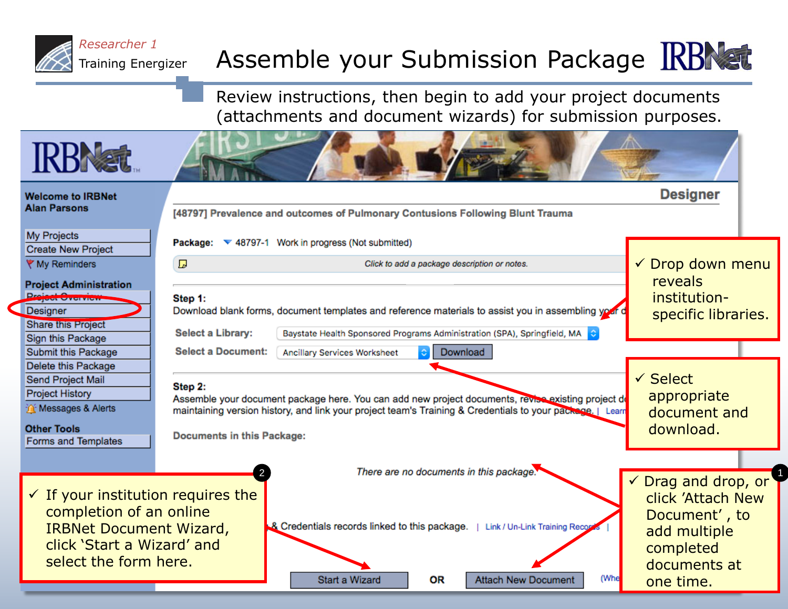

## Assemble your Submission Package KBNst

Review instructions, then begin to add your project documents (attachments and document wizards) for submission purposes.

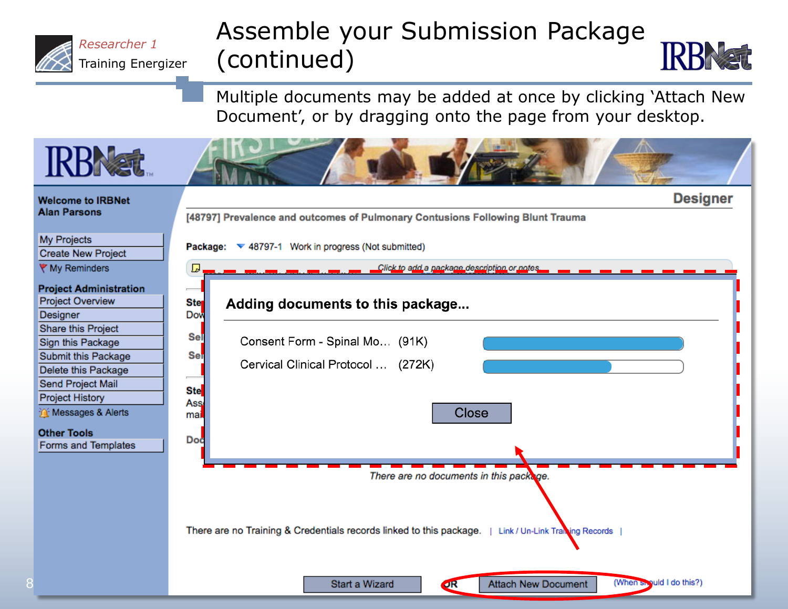

## Assemble your Submission Package (continued)

Multiple documents may be added at once by clicking 'Attach New Document', or by dragging onto the page from your desktop.

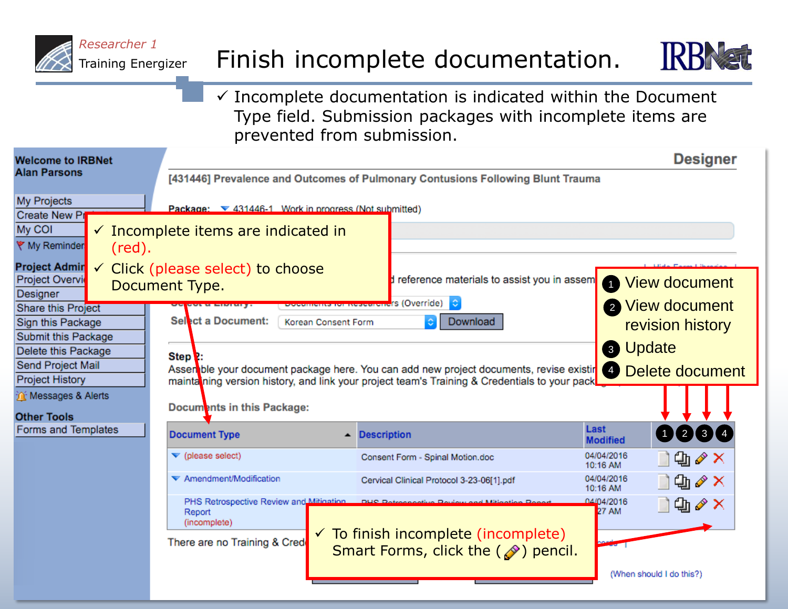

## Finish incomplete documentation.



 $\checkmark$  Incomplete documentation is indicated within the Document Type field. Submission packages with incomplete items are prevented from submission.

| <b>Welcome to IRBNet</b>                                                                                                            | <b>Designer</b>                                                                                                             |                     |                                                                                                  |                            |                          |  |
|-------------------------------------------------------------------------------------------------------------------------------------|-----------------------------------------------------------------------------------------------------------------------------|---------------------|--------------------------------------------------------------------------------------------------|----------------------------|--------------------------|--|
| <b>Alan Parsons</b>                                                                                                                 | [431446] Prevalence and Outcomes of Pulmonary Contusions Following Blunt Trauma                                             |                     |                                                                                                  |                            |                          |  |
| My Projects<br>Create New Pr                                                                                                        | Package: ▼ 431446-1 Work in progress (Not submitted)                                                                        |                     |                                                                                                  |                            |                          |  |
| My COI<br>$\checkmark$ Incomplete items are indicated in<br>♥ My Reminder<br>$(\text{red}).$                                        |                                                                                                                             |                     |                                                                                                  |                            |                          |  |
| <b>Project Admir</b><br>$\checkmark$<br>Project Overvi<br>Designer                                                                  | Click (please select) to choose<br>Document Type.                                                                           |                     | reference materials to assist you in assem                                                       |                            | <b>1</b> View document   |  |
| <b>Share this Project</b>                                                                                                           |                                                                                                                             |                     | <del>Documents for NesearChe</del> rs (Override) <mark>↓</mark>                                  |                            | 2 View document          |  |
| Sign this Package                                                                                                                   | Select a Document:                                                                                                          | Korean Consent Form | Download                                                                                         |                            | revision history         |  |
| Submit this Package<br>Delete this Package                                                                                          |                                                                                                                             |                     |                                                                                                  |                            | <b>8 Update</b>          |  |
| Step <sup>2</sup> :<br>Send Project Mail<br>Assen ble your document package here. You can add new project documents, revise existir |                                                                                                                             |                     |                                                                                                  |                            |                          |  |
| <b>Project History</b>                                                                                                              |                                                                                                                             |                     |                                                                                                  | $\left( 4 \right)$         | Delete document          |  |
| The Messages & Alerts                                                                                                               | mainta ning version history, and link your project team's Training & Credentials to your pack<br>Documents in this Package: |                     |                                                                                                  |                            |                          |  |
| <b>Other Tools</b>                                                                                                                  |                                                                                                                             |                     |                                                                                                  |                            |                          |  |
| Forms and Templates                                                                                                                 | <b>Document Type</b>                                                                                                        |                     | <b>Description</b>                                                                               | Last<br><b>Modified</b>    | 0234                     |  |
|                                                                                                                                     | $\blacktriangledown$ (please select)                                                                                        |                     | Consent Form - Spinal Motion.doc                                                                 | 04/04/2016<br>10:16 AM     | 仙∥×                      |  |
|                                                                                                                                     | ▼ Amendment/Modification                                                                                                    |                     | Cervical Clinical Protocol 3-23-06[1].pdf                                                        | 04/04/2016<br>10:16 AM     | 仙∥×                      |  |
|                                                                                                                                     | PHS Retrospective Review and Mitination<br>Report<br>(incomplete)<br>There are no Training & Cred                           |                     | $\checkmark$ To finish incomplete (incomplete)<br>Smart Forms, click the $(\mathcal{D})$ pencil. | 04/04/2016<br><b>27 AM</b> | 仙∥×                      |  |
|                                                                                                                                     |                                                                                                                             |                     |                                                                                                  |                            | (When should I do this?) |  |